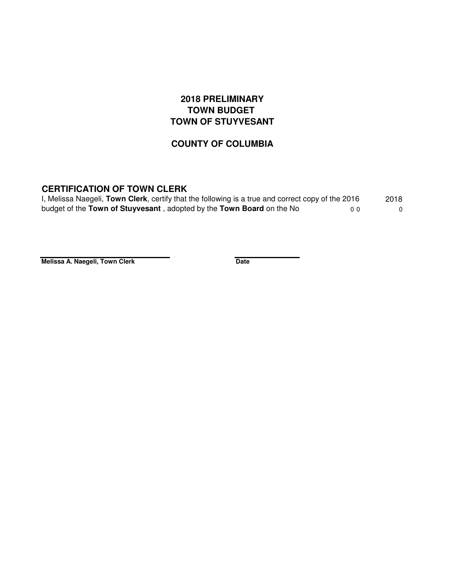## **2018 PRELIMINARY TOWN BUDGET TOWN OF STUYVESANT**

## **COUNTY OF COLUMBIA**

## **CERTIFICATION OF TOWN CLERK**

| I, Melissa Naegeli, Town Clerk, certify that the following is a true and correct copy of the 2016 |     | 2018 |
|---------------------------------------------------------------------------------------------------|-----|------|
| budget of the Town of Stuyvesant, adopted by the Town Board on the No                             | n n |      |

**Melissa A. Naegeli, Town Clerk Date**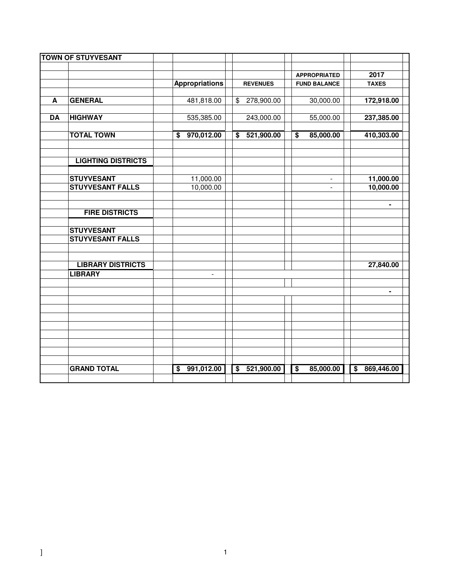|           | <b>TOWN OF STUYVESANT</b> |                               |                                                    |                                                     |                                                    |
|-----------|---------------------------|-------------------------------|----------------------------------------------------|-----------------------------------------------------|----------------------------------------------------|
|           |                           |                               |                                                    |                                                     | 2017                                               |
|           |                           | <b>Appropriations</b>         | <b>REVENUES</b>                                    | <b>APPROPRIATED</b><br><b>FUND BALANCE</b>          | <b>TAXES</b>                                       |
|           |                           |                               |                                                    |                                                     |                                                    |
| A         | <b>GENERAL</b>            | 481,818.00                    | 278,900.00<br>$\frac{1}{2}$                        | 30,000.00                                           | 172,918.00                                         |
| <b>DA</b> | <b>HIGHWAY</b>            | 535,385.00                    | 243,000.00                                         | 55,000.00                                           | 237,385.00                                         |
|           |                           |                               |                                                    |                                                     |                                                    |
|           | <b>TOTAL TOWN</b>         | 970,012.00<br>\$              | 521,900.00<br>\$                                   | 85,000.00<br>$\overline{\boldsymbol{\mathfrak{s}}}$ | 410,303.00                                         |
|           |                           |                               |                                                    |                                                     |                                                    |
|           | <b>LIGHTING DISTRICTS</b> |                               |                                                    |                                                     |                                                    |
|           | <b>STUYVESANT</b>         | 11,000.00                     |                                                    |                                                     | 11,000.00                                          |
|           | <b>STUYVESANT FALLS</b>   | 10,000.00                     |                                                    | $\mathbf{r}$                                        | 10,000.00                                          |
|           |                           |                               |                                                    |                                                     |                                                    |
|           |                           |                               |                                                    |                                                     | ۰                                                  |
|           | <b>FIRE DISTRICTS</b>     |                               |                                                    |                                                     |                                                    |
|           |                           |                               |                                                    |                                                     |                                                    |
|           | <b>STUYVESANT</b>         |                               |                                                    |                                                     |                                                    |
|           | <b>STUYVESANT FALLS</b>   |                               |                                                    |                                                     |                                                    |
|           |                           |                               |                                                    |                                                     |                                                    |
|           | <b>LIBRARY DISTRICTS</b>  |                               |                                                    |                                                     | 27,840.00                                          |
|           | <b>LIBRARY</b>            | $\overline{\phantom{a}}$      |                                                    |                                                     |                                                    |
|           |                           |                               |                                                    |                                                     |                                                    |
|           |                           |                               |                                                    |                                                     | ۰                                                  |
|           |                           |                               |                                                    |                                                     |                                                    |
|           |                           |                               |                                                    |                                                     |                                                    |
|           |                           |                               |                                                    |                                                     |                                                    |
|           |                           |                               |                                                    |                                                     |                                                    |
|           |                           |                               |                                                    |                                                     |                                                    |
|           |                           |                               |                                                    |                                                     |                                                    |
|           |                           |                               |                                                    |                                                     |                                                    |
|           |                           |                               |                                                    |                                                     |                                                    |
|           | <b>GRAND TOTAL</b>        | 991,012.00<br>$\overline{\$}$ | $\overline{\boldsymbol{\mathsf{s}}}$<br>521,900.00 | $\overline{\boldsymbol{\mathsf{s}}}$<br>85,000.00   | $\overline{\boldsymbol{\mathsf{s}}}$<br>869,446.00 |
|           |                           |                               |                                                    |                                                     |                                                    |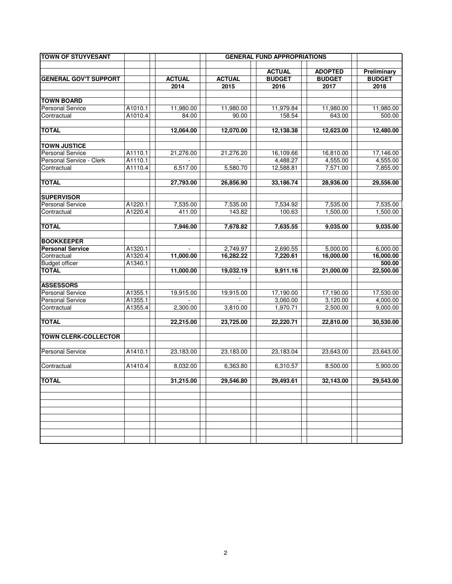|         |                                                                                                            | <b>GENERAL FUND APPROPRIATIONS</b>                                                                                                                 |                                                                                                                                                                |                                                                                                                                                              |                                                                                                                                                                  |  |  |  |  |
|---------|------------------------------------------------------------------------------------------------------------|----------------------------------------------------------------------------------------------------------------------------------------------------|----------------------------------------------------------------------------------------------------------------------------------------------------------------|--------------------------------------------------------------------------------------------------------------------------------------------------------------|------------------------------------------------------------------------------------------------------------------------------------------------------------------|--|--|--|--|
|         |                                                                                                            |                                                                                                                                                    | <b>ACTUAL</b>                                                                                                                                                  | <b>ADOPTED</b>                                                                                                                                               | Preliminary<br><b>BUDGET</b>                                                                                                                                     |  |  |  |  |
|         |                                                                                                            |                                                                                                                                                    |                                                                                                                                                                |                                                                                                                                                              | 2018                                                                                                                                                             |  |  |  |  |
|         |                                                                                                            |                                                                                                                                                    |                                                                                                                                                                |                                                                                                                                                              |                                                                                                                                                                  |  |  |  |  |
|         |                                                                                                            |                                                                                                                                                    |                                                                                                                                                                |                                                                                                                                                              |                                                                                                                                                                  |  |  |  |  |
|         |                                                                                                            |                                                                                                                                                    |                                                                                                                                                                |                                                                                                                                                              | 11,980.00                                                                                                                                                        |  |  |  |  |
| A1010.4 | 84.00                                                                                                      | 90.00                                                                                                                                              | 158.54                                                                                                                                                         | 643.00                                                                                                                                                       | 500.00                                                                                                                                                           |  |  |  |  |
|         |                                                                                                            |                                                                                                                                                    |                                                                                                                                                                |                                                                                                                                                              |                                                                                                                                                                  |  |  |  |  |
|         | 12,064.00                                                                                                  | 12,070.00                                                                                                                                          | 12,138.38                                                                                                                                                      | 12,623.00                                                                                                                                                    | 12,480.00                                                                                                                                                        |  |  |  |  |
|         |                                                                                                            |                                                                                                                                                    |                                                                                                                                                                |                                                                                                                                                              |                                                                                                                                                                  |  |  |  |  |
| A1110.1 | 21,276.00                                                                                                  | 21,276.20                                                                                                                                          | 16,109.66                                                                                                                                                      | 16,810.00                                                                                                                                                    | 17,146.00                                                                                                                                                        |  |  |  |  |
|         |                                                                                                            |                                                                                                                                                    | 4,488.27                                                                                                                                                       | 4,555.00                                                                                                                                                     | 4,555.00                                                                                                                                                         |  |  |  |  |
| A1110.4 | 6,517.00                                                                                                   | 5,580.70                                                                                                                                           | 12,588.81                                                                                                                                                      | 7,571.00                                                                                                                                                     | 7,855.00                                                                                                                                                         |  |  |  |  |
|         |                                                                                                            |                                                                                                                                                    |                                                                                                                                                                |                                                                                                                                                              | 29,556.00                                                                                                                                                        |  |  |  |  |
|         |                                                                                                            |                                                                                                                                                    |                                                                                                                                                                |                                                                                                                                                              |                                                                                                                                                                  |  |  |  |  |
|         |                                                                                                            |                                                                                                                                                    |                                                                                                                                                                |                                                                                                                                                              |                                                                                                                                                                  |  |  |  |  |
|         |                                                                                                            |                                                                                                                                                    |                                                                                                                                                                |                                                                                                                                                              | 7,535.00                                                                                                                                                         |  |  |  |  |
|         |                                                                                                            |                                                                                                                                                    |                                                                                                                                                                |                                                                                                                                                              | 1,500.00                                                                                                                                                         |  |  |  |  |
|         | 7,946.00                                                                                                   | 7,678.82                                                                                                                                           | 7,635.55                                                                                                                                                       | 9,035.00                                                                                                                                                     | 9,035.00                                                                                                                                                         |  |  |  |  |
|         |                                                                                                            |                                                                                                                                                    |                                                                                                                                                                |                                                                                                                                                              |                                                                                                                                                                  |  |  |  |  |
|         |                                                                                                            |                                                                                                                                                    |                                                                                                                                                                |                                                                                                                                                              |                                                                                                                                                                  |  |  |  |  |
|         |                                                                                                            |                                                                                                                                                    |                                                                                                                                                                |                                                                                                                                                              | 6,000.00                                                                                                                                                         |  |  |  |  |
|         |                                                                                                            |                                                                                                                                                    |                                                                                                                                                                |                                                                                                                                                              | 16,000.00                                                                                                                                                        |  |  |  |  |
|         |                                                                                                            |                                                                                                                                                    |                                                                                                                                                                |                                                                                                                                                              | 500.00                                                                                                                                                           |  |  |  |  |
|         |                                                                                                            |                                                                                                                                                    |                                                                                                                                                                |                                                                                                                                                              | 22,500.00                                                                                                                                                        |  |  |  |  |
|         |                                                                                                            |                                                                                                                                                    |                                                                                                                                                                |                                                                                                                                                              |                                                                                                                                                                  |  |  |  |  |
|         |                                                                                                            |                                                                                                                                                    |                                                                                                                                                                |                                                                                                                                                              | 17,530.00                                                                                                                                                        |  |  |  |  |
|         |                                                                                                            |                                                                                                                                                    |                                                                                                                                                                |                                                                                                                                                              | 4,000.00                                                                                                                                                         |  |  |  |  |
| A1355.4 | 2,300.00                                                                                                   | 3,810.00                                                                                                                                           | 1,970.71                                                                                                                                                       | 2,500.00                                                                                                                                                     | 9,000.00                                                                                                                                                         |  |  |  |  |
|         |                                                                                                            |                                                                                                                                                    |                                                                                                                                                                |                                                                                                                                                              |                                                                                                                                                                  |  |  |  |  |
|         |                                                                                                            |                                                                                                                                                    |                                                                                                                                                                |                                                                                                                                                              | 30,530.00                                                                                                                                                        |  |  |  |  |
|         |                                                                                                            |                                                                                                                                                    |                                                                                                                                                                |                                                                                                                                                              |                                                                                                                                                                  |  |  |  |  |
|         |                                                                                                            |                                                                                                                                                    |                                                                                                                                                                |                                                                                                                                                              | 23,643.00                                                                                                                                                        |  |  |  |  |
|         |                                                                                                            |                                                                                                                                                    |                                                                                                                                                                |                                                                                                                                                              |                                                                                                                                                                  |  |  |  |  |
| A1410.4 |                                                                                                            |                                                                                                                                                    | 6,310.57                                                                                                                                                       | 8,500.00                                                                                                                                                     | 5,900.00                                                                                                                                                         |  |  |  |  |
|         | 31,215.00                                                                                                  | 29,546.80                                                                                                                                          | 29,493.61                                                                                                                                                      | 32.143.00                                                                                                                                                    | 29,543.00                                                                                                                                                        |  |  |  |  |
|         |                                                                                                            |                                                                                                                                                    |                                                                                                                                                                |                                                                                                                                                              |                                                                                                                                                                  |  |  |  |  |
|         |                                                                                                            |                                                                                                                                                    |                                                                                                                                                                |                                                                                                                                                              |                                                                                                                                                                  |  |  |  |  |
|         |                                                                                                            |                                                                                                                                                    |                                                                                                                                                                |                                                                                                                                                              |                                                                                                                                                                  |  |  |  |  |
|         | A1010.1<br>A1110.1<br>A1220.1<br>A1220.4<br>A1320.1<br>A1320.4<br>A1340.1<br>A1355.1<br>A1355.1<br>A1410.1 | <b>ACTUAL</b><br>2014<br>11,980.00<br>27,793.00<br>7,535.00<br>411.00<br>11,000.00<br>11,000.00<br>19,915.00<br>22,215.00<br>23,183.00<br>8.032.00 | <b>ACTUAL</b><br>2015<br>11,980.00<br>26,856.90<br>7,535.00<br>143.82<br>2,749.97<br>16,282.22<br>19,032.19<br>19,915.00<br>23,725.00<br>23,183.00<br>6.363.80 | <b>BUDGET</b><br>2016<br>11,979.84<br>33,186.74<br>7,534.92<br>100.63<br>2,690.55<br>7,220.61<br>9,911.16<br>17,190.00<br>3,060.00<br>22,220.71<br>23.183.04 | <b>BUDGET</b><br>2017<br>11,980.00<br>28,936.00<br>7,535.00<br>1,500.00<br>5,000.00<br>16,000.00<br>21,000.00<br>17,190.00<br>3,120.00<br>22,810.00<br>23,643.00 |  |  |  |  |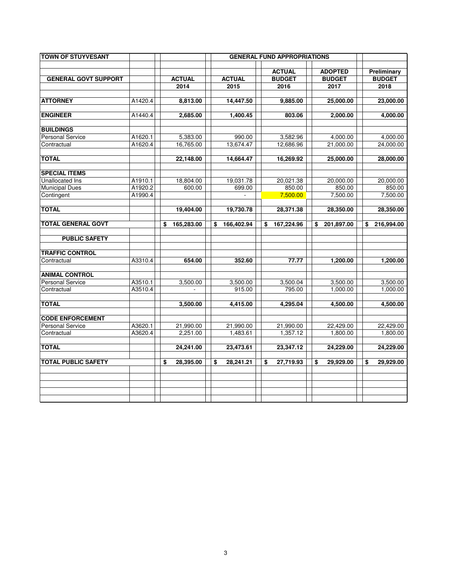| <b>TOWN OF STUYVESANT</b>   |         |                  |                  | <b>GENERAL FUND APPROPRIATIONS</b> |                                 |                              |
|-----------------------------|---------|------------------|------------------|------------------------------------|---------------------------------|------------------------------|
| <b>GENERAL GOVT SUPPORT</b> |         | <b>ACTUAL</b>    | <b>ACTUAL</b>    | <b>ACTUAL</b><br><b>BUDGET</b>     | <b>ADOPTED</b><br><b>BUDGET</b> | Preliminary<br><b>BUDGET</b> |
|                             |         | 2014             | 2015             | 2016                               | 2017                            | 2018                         |
| <b>ATTORNEY</b>             | A1420.4 | 8,813.00         | 14,447.50        | 9,885.00                           | 25,000.00                       | 23,000.00                    |
| <b>ENGINEER</b>             | A1440.4 | 2,685.00         | 1,400.45         | 803.06                             | 2,000.00                        | 4,000.00                     |
| <b>BUILDINGS</b>            |         |                  |                  |                                    |                                 |                              |
| <b>Personal Service</b>     | A1620.1 | 5,383.00         | 990.00           | 3,582.96                           | 4,000.00                        | 4,000.00                     |
| Contractual                 | A1620.4 | 16,765.00        | 13,674.47        | 12,686.96                          | 21,000.00                       | 24,000.00                    |
| <b>TOTAL</b>                |         | 22,148.00        | 14,664.47        | 16,269.92                          | 25,000.00                       | 28,000.00                    |
| <b>SPECIAL ITEMS</b>        |         |                  |                  |                                    |                                 |                              |
| Unallocated Ins             | A1910.1 | 18,804.00        | 19,031.78        | 20,021.38                          | 20,000.00                       | 20,000.00                    |
| <b>Municipal Dues</b>       | A1920.2 | 600.00           | 699.00           | 850.00                             | 850.00                          | 850.00                       |
| Contingent                  | A1990.4 |                  |                  | 7,500.00                           | 7,500.00                        | 7,500.00                     |
| <b>TOTAL</b>                |         | 19,404.00        | 19,730.78        | 28,371.38                          | 28,350.00                       | 28,350.00                    |
| <b>TOTAL GENERAL GOVT</b>   |         | \$<br>165,283.00 | \$<br>166,402.94 | \$<br>167,224.96                   | \$<br>201,897.00                | \$<br>216,994.00             |
| <b>PUBLIC SAFETY</b>        |         |                  |                  |                                    |                                 |                              |
| <b>TRAFFIC CONTROL</b>      |         |                  |                  |                                    |                                 |                              |
| Contractual                 | A3310.4 | 654.00           | 352.60           | 77.77                              | 1,200.00                        | 1,200.00                     |
| ANIMAL CONTROL              |         |                  |                  |                                    |                                 |                              |
| <b>Personal Service</b>     | A3510.1 | 3,500.00         | 3,500.00         | 3,500.04                           | 3,500.00                        | 3,500.00                     |
| Contractual                 | A3510.4 |                  | 915.00           | 795.00                             | 1,000.00                        | 1,000.00                     |
| <b>TOTAL</b>                |         | 3,500.00         | 4,415.00         | 4,295.04                           | 4,500.00                        | 4,500.00                     |
| <b>CODE ENFORCEMENT</b>     |         |                  |                  |                                    |                                 |                              |
| <b>Personal Service</b>     | A3620.1 | 21,990.00        | 21,990.00        | 21,990.00                          | 22,429.00                       | 22,429.00                    |
| Contractual                 | A3620.4 | 2,251.00         | 1,483.61         | 1,357.12                           | 1,800.00                        | 1,800.00                     |
| <b>TOTAL</b>                |         | 24,241.00        | 23,473.61        | 23,347.12                          | 24,229.00                       | 24,229.00                    |
| <b>TOTAL PUBLIC SAFETY</b>  |         | \$<br>28,395.00  | \$<br>28,241.21  | \$<br>27,719.93                    | \$<br>29,929.00                 | \$<br>29,929.00              |
|                             |         |                  |                  |                                    |                                 |                              |
|                             |         |                  |                  |                                    |                                 |                              |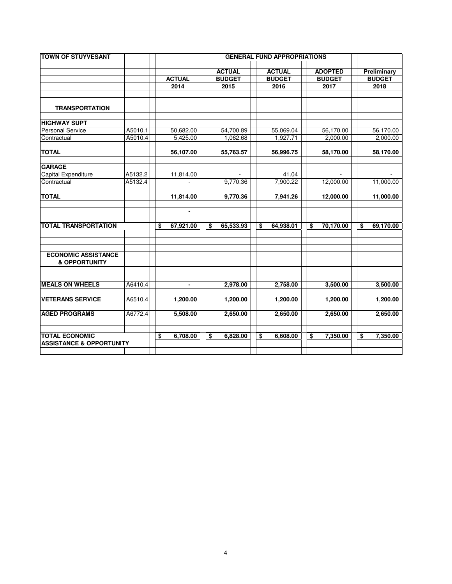| <b>TOWN OF STUYVESANT</b>           |         | <b>GENERAL FUND APPROPRIATIONS</b> |                          |    |               |    |               |    |                |                 |
|-------------------------------------|---------|------------------------------------|--------------------------|----|---------------|----|---------------|----|----------------|-----------------|
|                                     |         |                                    |                          |    |               |    |               |    |                |                 |
|                                     |         |                                    |                          |    | <b>ACTUAL</b> |    | <b>ACTUAL</b> |    | <b>ADOPTED</b> | Preliminary     |
|                                     |         |                                    | <b>ACTUAL</b>            |    | <b>BUDGET</b> |    | <b>BUDGET</b> |    | <b>BUDGET</b>  | <b>BUDGET</b>   |
|                                     |         |                                    | 2014                     |    | 2015          |    | 2016          |    | 2017           | 2018            |
|                                     |         |                                    |                          |    |               |    |               |    |                |                 |
| <b>TRANSPORTATION</b>               |         |                                    |                          |    |               |    |               |    |                |                 |
|                                     |         |                                    |                          |    |               |    |               |    |                |                 |
| <b>HIGHWAY SUPT</b>                 |         |                                    |                          |    |               |    |               |    |                |                 |
| <b>Personal Service</b>             | A5010.1 |                                    | 50,682.00                |    | 54,700.89     |    | 55,069.04     |    | 56,170.00      | 56,170.00       |
| Contractual                         | A5010.4 |                                    | 5,425.00                 |    | 1,062.68      |    | 1,927.71      |    | 2,000.00       | 2,000.00        |
|                                     |         |                                    |                          |    |               |    |               |    |                |                 |
| <b>TOTAL</b>                        |         |                                    | 56,107.00                |    | 55,763.57     |    | 56,996.75     |    | 58,170.00      | 58,170.00       |
|                                     |         |                                    |                          |    |               |    |               |    |                |                 |
| <b>GARAGE</b>                       |         |                                    |                          |    |               |    |               |    |                |                 |
| Capital Expenditure                 | A5132.2 |                                    | 11,814.00                |    |               |    | 41.04         |    |                |                 |
| Contractual                         | A5132.4 |                                    | $\overline{\phantom{a}}$ |    | 9,770.36      |    | 7,900.22      |    | 12,000.00      | 11,000.00       |
| <b>TOTAL</b>                        |         |                                    |                          |    |               |    |               |    |                |                 |
|                                     |         |                                    | 11,814.00                |    | 9,770.36      |    | 7,941.26      |    | 12,000.00      | 11,000.00       |
|                                     |         |                                    | $\blacksquare$           |    |               |    |               |    |                |                 |
|                                     |         |                                    |                          |    |               |    |               |    |                |                 |
| <b>TOTAL TRANSPORTATION</b>         |         | \$                                 | 67,921.00                | \$ | 65,533.93     | \$ | 64,938.01     | \$ | 70,170.00      | \$<br>69,170.00 |
|                                     |         |                                    |                          |    |               |    |               |    |                |                 |
|                                     |         |                                    |                          |    |               |    |               |    |                |                 |
|                                     |         |                                    |                          |    |               |    |               |    |                |                 |
| <b>ECONOMIC ASSISTANCE</b>          |         |                                    |                          |    |               |    |               |    |                |                 |
| <b>&amp; OPPORTUNITY</b>            |         |                                    |                          |    |               |    |               |    |                |                 |
|                                     |         |                                    |                          |    |               |    |               |    |                |                 |
|                                     |         |                                    |                          |    |               |    |               |    |                |                 |
| <b>MEALS ON WHEELS</b>              | A6410.4 |                                    | $\blacksquare$           |    | 2,978.00      |    | 2,758.00      |    | 3,500.00       | 3,500.00        |
|                                     |         |                                    |                          |    |               |    |               |    |                |                 |
| <b>VETERANS SERVICE</b>             | A6510.4 |                                    | 1,200.00                 |    | 1,200.00      |    | 1,200.00      |    | 1,200.00       | 1,200.00        |
| <b>AGED PROGRAMS</b>                | A6772.4 |                                    | 5,508.00                 |    | 2,650.00      |    | 2,650.00      |    | 2,650.00       | 2,650.00        |
|                                     |         |                                    |                          |    |               |    |               |    |                |                 |
|                                     |         |                                    |                          |    |               |    |               |    |                |                 |
| <b>TOTAL ECONOMIC</b>               |         | \$                                 | 6,708.00                 | \$ | 6,828.00      | \$ | 6,608.00      | \$ | 7,350.00       | \$<br>7,350.00  |
| <b>ASSISTANCE &amp; OPPORTUNITY</b> |         |                                    |                          |    |               |    |               |    |                |                 |
|                                     |         |                                    |                          |    |               |    |               |    |                |                 |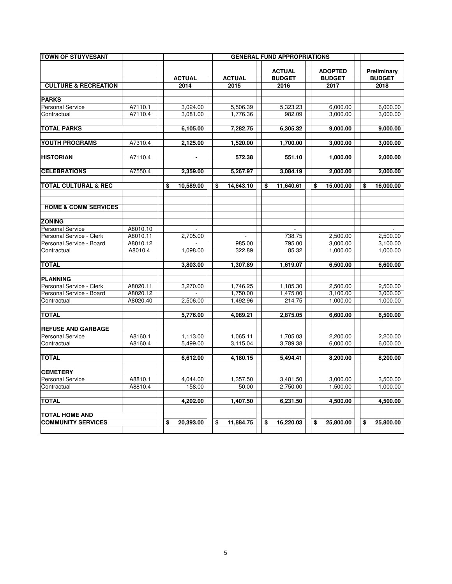| <b>TOWN OF STUYVESANT</b>       |                    |                 |                 | <b>GENERAL FUND APPROPRIATIONS</b> |                 |                      |
|---------------------------------|--------------------|-----------------|-----------------|------------------------------------|-----------------|----------------------|
|                                 |                    |                 |                 |                                    |                 |                      |
|                                 |                    |                 |                 | <b>ACTUAL</b>                      | <b>ADOPTED</b>  | Preliminary          |
|                                 |                    | <b>ACTUAL</b>   | <b>ACTUAL</b>   | <b>BUDGET</b>                      | <b>BUDGET</b>   | <b>BUDGET</b>        |
| <b>CULTURE &amp; RECREATION</b> |                    | 2014            | 2015            | 2016                               | 2017            | 2018                 |
| <b>PARKS</b>                    |                    |                 |                 |                                    |                 |                      |
| <b>Personal Service</b>         | A7110.1            | 3,024.00        | 5,506.39        | 5,323.23                           | 6,000.00        | 6,000.00             |
| Contractual                     | A7110.4            | 3,081.00        | 1,776.36        | 982.09                             | 3,000.00        | 3,000.00             |
| <b>TOTAL PARKS</b>              |                    | 6,105.00        | 7,282.75        | 6,305.32                           | 9,000.00        | 9,000.00             |
|                                 |                    |                 |                 |                                    |                 |                      |
| YOUTH PROGRAMS                  | A7310.4            | 2,125.00        | 1,520.00        | 1,700.00                           | 3.000.00        | 3,000.00             |
| <b>HISTORIAN</b>                | A7110.4            |                 | 572.38          | 551.10                             | 1,000.00        | 2,000.00             |
|                                 |                    |                 |                 |                                    |                 |                      |
| <b>CELEBRATIONS</b>             | A7550.4            | 2,359.00        | 5,267.97        | 3,084.19                           | 2,000.00        | 2,000.00             |
| <b>TOTAL CULTURAL &amp; REC</b> |                    | \$<br>10,589.00 | \$<br>14,643.10 | \$<br>11,640.61                    | \$<br>15,000.00 | \$<br>16,000.00      |
|                                 |                    |                 |                 |                                    |                 |                      |
|                                 |                    |                 |                 |                                    |                 |                      |
| <b>HOME &amp; COMM SERVICES</b> |                    |                 |                 |                                    |                 |                      |
| <b>ZONING</b>                   |                    |                 |                 |                                    |                 |                      |
| <b>Personal Service</b>         | A8010.10           |                 |                 |                                    |                 |                      |
| Personal Service - Clerk        | A8010.11           | 2,705.00        |                 | 738.75                             | 2,500.00        | 2,500.00             |
| Personal Service - Board        | A8010.12           |                 | 985.00          | 795.00                             | 3,000.00        | 3,100.00             |
| Contractual                     | A8010.4            | 1,098.00        | 322.89          | 85.32                              | 1,000.00        | 1,000.00             |
| <b>TOTAL</b>                    |                    | 3,803.00        | 1,307.89        | 1,619.07                           | 6,500.00        | 6,600.00             |
|                                 |                    |                 |                 |                                    |                 |                      |
| <b>PLANNING</b>                 |                    |                 |                 |                                    |                 |                      |
| Personal Service - Clerk        | A8020.11           | 3,270.00        | 1,746.25        | 1,185.30                           | 2,500.00        | 2,500.00             |
| Personal Service - Board        | A8020.12           |                 | 1,750.00        | 1,475.00                           | 3,100.00        | 3,000.00             |
| Contractual                     | A8020.40           | 2,506.00        | 1,492.96        | 214.75                             | 1,000.00        | 1,000.00             |
| <b>TOTAL</b>                    |                    | 5,776.00        | 4,989.21        | 2,875.05                           | 6,600.00        | 6,500.00             |
|                                 |                    |                 |                 |                                    |                 |                      |
| <b>REFUSE AND GARBAGE</b>       |                    |                 |                 |                                    |                 |                      |
| <b>Personal Service</b>         | A8160.1<br>A8160.4 | 1,113.00        | 1,065.11        | 1,705.03<br>3,789.38               | 2,200.00        | 2,200.00<br>6,000.00 |
| Contractual                     |                    | 5,499.00        | 3,115.04        |                                    | 6,000.00        |                      |
| <b>TOTAL</b>                    |                    | 6,612.00        | 4,180.15        | 5,494.41                           | 8,200.00        | 8,200.00             |
| <b>CEMETERY</b>                 |                    |                 |                 |                                    |                 |                      |
| <b>Personal Service</b>         | A8810.1            | 4,044.00        | 1,357.50        | 3,481.50                           | 3,000.00        | 3,500.00             |
| Contractual                     | A8810.4            | 158.00          | 50.00           | 2,750.00                           | 1,500.00        | 1,000.00             |
| <b>TOTAL</b>                    |                    | 4.202.00        | 1,407.50        | 6,231.50                           | 4.500.00        | 4,500.00             |
|                                 |                    |                 |                 |                                    |                 |                      |
| <b>TOTAL HOME AND</b>           |                    |                 |                 |                                    |                 |                      |
| <b>COMMUNITY SERVICES</b>       |                    | \$<br>20,393.00 | \$<br>11,884.75 | \$<br>16,220.03                    | \$<br>25,800.00 | \$<br>25,800.00      |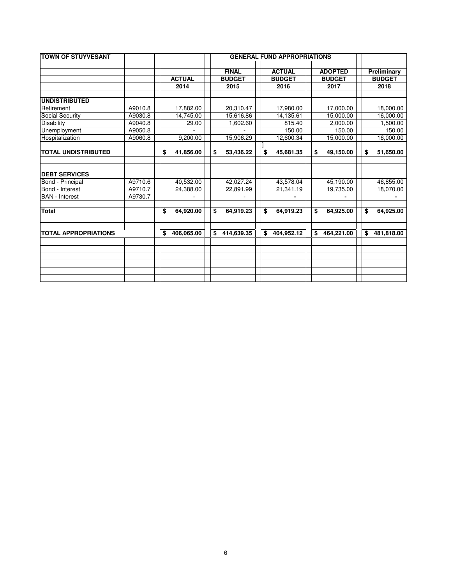| <b>TOWN OF STUYVESANT</b>   |         |                  | <b>GENERAL FUND APPROPRIATIONS</b> |               |  |                  |  |    |                |    |               |
|-----------------------------|---------|------------------|------------------------------------|---------------|--|------------------|--|----|----------------|----|---------------|
|                             |         |                  |                                    |               |  |                  |  |    |                |    |               |
|                             |         |                  |                                    | <b>FINAL</b>  |  | <b>ACTUAL</b>    |  |    | <b>ADOPTED</b> |    | Preliminary   |
|                             |         | <b>ACTUAL</b>    |                                    | <b>BUDGET</b> |  | <b>BUDGET</b>    |  |    | <b>BUDGET</b>  |    | <b>BUDGET</b> |
|                             |         | 2014             |                                    | 2015          |  | 2016             |  |    | 2017           |    | 2018          |
|                             |         |                  |                                    |               |  |                  |  |    |                |    |               |
| <b>UNDISTRIBUTED</b>        |         |                  |                                    |               |  |                  |  |    |                |    |               |
| Retirement                  | A9010.8 | 17,882.00        |                                    | 20,310.47     |  | 17,980.00        |  |    | 17,000.00      |    | 18,000.00     |
| Social Security             | A9030.8 | 14,745.00        |                                    | 15,616.86     |  | 14,135.61        |  |    | 15,000.00      |    | 16,000.00     |
| Disability                  | A9040.8 | 29.00            |                                    | 1,602.60      |  | 815.40           |  |    | 2,000.00       |    | 1,500.00      |
| Unemployment                | A9050.8 |                  |                                    |               |  | 150.00           |  |    | 150.00         |    | 150.00        |
| Hospitalization             | A9060.8 | 9,200.00         |                                    | 15,906.29     |  | 12,600.34        |  |    | 15,000.00      |    | 16,000.00     |
|                             |         |                  |                                    |               |  |                  |  |    |                |    |               |
| <b>TOTAL UNDISTRIBUTED</b>  |         | \$<br>41,856.00  | \$                                 | 53,436.22     |  | \$<br>45,681.35  |  | \$ | 49,150.00      | \$ | 51,650.00     |
|                             |         |                  |                                    |               |  |                  |  |    |                |    |               |
|                             |         |                  |                                    |               |  |                  |  |    |                |    |               |
| <b>DEBT SERVICES</b>        |         |                  |                                    |               |  |                  |  |    |                |    |               |
| Bond - Principal            | A9710.6 | 40,532.00        |                                    | 42,027.24     |  | 43,578.04        |  |    | 45,190.00      |    | 46,855.00     |
| Bond - Interest             | A9710.7 | 24,388.00        |                                    | 22,891.99     |  | 21,341.19        |  |    | 19,735.00      |    | 18,070.00     |
| <b>BAN</b> - Interest       | A9730.7 |                  |                                    |               |  |                  |  |    |                |    |               |
|                             |         |                  |                                    |               |  |                  |  |    |                |    |               |
| <b>Total</b>                |         | \$<br>64,920.00  | \$                                 | 64,919.23     |  | 64,919.23<br>\$  |  | \$ | 64,925.00      | \$ | 64,925.00     |
|                             |         |                  |                                    |               |  |                  |  |    |                |    |               |
| <b>TOTAL APPROPRIATIONS</b> |         | \$<br>406,065.00 | \$                                 | 414,639.35    |  | \$<br>404,952.12 |  | \$ | 464,221.00     | \$ | 481,818.00    |
|                             |         |                  |                                    |               |  |                  |  |    |                |    |               |
|                             |         |                  |                                    |               |  |                  |  |    |                |    |               |
|                             |         |                  |                                    |               |  |                  |  |    |                |    |               |
|                             |         |                  |                                    |               |  |                  |  |    |                |    |               |
|                             |         |                  |                                    |               |  |                  |  |    |                |    |               |
|                             |         |                  |                                    |               |  |                  |  |    |                |    |               |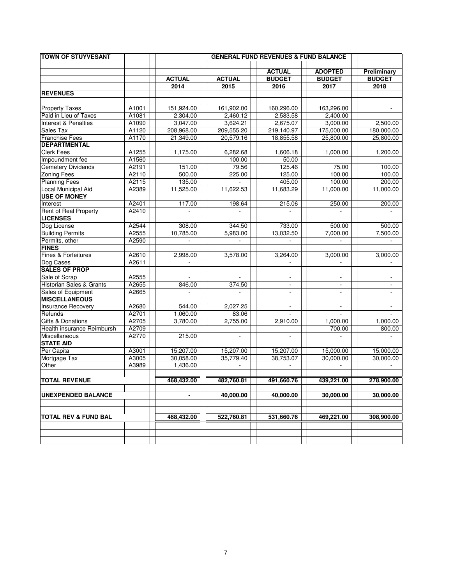| <b>TOWN OF STUYVESANT</b>       |       |                |                          | <b>GENERAL FUND REVENUES &amp; FUND BALANCE</b> |                          |                          |
|---------------------------------|-------|----------------|--------------------------|-------------------------------------------------|--------------------------|--------------------------|
|                                 |       |                |                          |                                                 |                          |                          |
|                                 |       | <b>ACTUAL</b>  |                          | <b>ACTUAL</b>                                   | <b>ADOPTED</b>           | Preliminary              |
|                                 |       |                | <b>ACTUAL</b>            | <b>BUDGET</b>                                   | <b>BUDGET</b>            | <b>BUDGET</b>            |
|                                 |       | 2014           | 2015                     | 2016                                            | 2017                     | 2018                     |
| <b>REVENUES</b>                 |       |                |                          |                                                 |                          |                          |
| <b>Property Taxes</b>           | A1001 | 151,924.00     | 161,902.00               | 160,296.00                                      | 163,296.00               |                          |
| Paid in Lieu of Taxes           | A1081 | 2,304.00       | 2,460.12                 | 2,583.58                                        | 2,400.00                 |                          |
| <b>Interest &amp; Penalties</b> | A1090 | 3,047.00       | 3,624.21                 | 2,675.07                                        | 3,000.00                 | 2,500.00                 |
| Sales Tax                       | A1120 | 208,968.00     | 209,555.20               | 219,140.97                                      | 175,000.00               | 180,000.00               |
| <b>Franchise Fees</b>           | A1170 | 21,349.00      | 20,579.16                | 18,855.58                                       | 25,800.00                | 25,800.00                |
| <b>DEPARTMENTAL</b>             |       |                |                          |                                                 |                          |                          |
| <b>Clerk Fees</b>               | A1255 | 1,175.00       | 6,282.68                 | 1,606.18                                        | 1,000.00                 | 1,200.00                 |
| Impoundment fee                 | A1560 |                | 100.00                   | 50.00                                           |                          |                          |
| <b>Cemetery Dividends</b>       | A2191 | 151.00         | 79.56                    | 125.46                                          | 75.00                    | 100.00                   |
| <b>Zoning Fees</b>              | A2110 | 500.00         | 225.00                   | 125.00                                          | 100.00                   | 100.00                   |
| <b>Planning Fees</b>            | A2115 | 135.00         |                          | 405.00                                          | 100.00                   | 200.00                   |
| <b>Local Municipal Aid</b>      | A2389 | 11,525.00      | 11,622.53                | 11,683.29                                       | 11,000.00                | 11,000.00                |
| <b>USE OF MONEY</b>             |       |                |                          |                                                 |                          |                          |
| Interest                        | A2401 | 117.00         | 198.64                   | 215.06                                          | 250.00                   | 200.00                   |
| <b>Rent of Real Property</b>    | A2410 |                |                          |                                                 |                          |                          |
| <b>LICENSES</b>                 |       |                |                          |                                                 |                          |                          |
| Dog License                     | A2544 | 308.00         | 344.50                   | 733.00                                          | 500.00                   | 500.00                   |
| <b>Building Permits</b>         | A2555 | 10,785.00      | 5,983.00                 | 13,032.50                                       | 7,000.00                 | 7,500.00                 |
| Permits, other                  | A2590 | $\blacksquare$ | $\mathbf{r}$             | $\sim$                                          | $\mathbf{r}$             | $\mathbf{r}$             |
| <b>FINES</b>                    |       |                |                          |                                                 |                          |                          |
| Fines & Forfeitures             | A2610 | 2,998.00       | 3,578.00                 | 3,264.00                                        | 3,000.00                 | 3,000.00                 |
| Dog Cases                       | A2611 | $\omega$       |                          |                                                 | $\overline{\phantom{a}}$ | $\blacksquare$           |
| <b>SALES OF PROP</b>            |       |                |                          |                                                 |                          |                          |
| Sale of Scrap                   | A2555 |                |                          |                                                 |                          |                          |
| Historian Sales & Grants        | A2655 | 846.00         | 374.50                   | $\sim$                                          | $\overline{\phantom{a}}$ | $\overline{\phantom{a}}$ |
| Sales of Equipment              | A2665 |                | $\blacksquare$           | $\blacksquare$                                  | $\overline{\phantom{a}}$ | $\overline{\phantom{a}}$ |
| <b>MISCELLANEOUS</b>            |       |                |                          |                                                 |                          |                          |
| Insurance Recovery              | A2680 | 544.00         | 2,027.25                 | $\sim$                                          | $\overline{\phantom{a}}$ | $\overline{\phantom{a}}$ |
| Refunds                         | A2701 | 1,060.00       | 83.06                    |                                                 |                          |                          |
| Gifts & Donations               | A2705 | 3,780.00       | 2,755.00                 | 2,910.00                                        | 1,000.00                 | 1,000.00                 |
| Health insurance Reimbursh      | A2709 |                |                          |                                                 | 700.00                   | 800.00                   |
| Miscellaneous                   | A2770 | 215.00         | $\overline{\phantom{a}}$ | $\overline{\phantom{a}}$                        | $\overline{\phantom{a}}$ |                          |
| <b>STATE AID</b>                |       |                |                          |                                                 |                          |                          |
| Per Capita                      | A3001 | 15,207.00      | 15,207.00                | 15,207.00                                       | 15,000.00                | 15,000.00                |
| Mortgage Tax                    | A3005 | 30,058.00      | 35,779.40                | 38,753.07                                       | 30,000.00                | 30,000.00                |
| Other                           | A3989 | 1,436.00       |                          |                                                 |                          |                          |
|                                 |       |                |                          |                                                 |                          |                          |
| <b>TOTAL REVENUE</b>            |       | 468,432.00     | 482,760.81               | 491,660.76                                      | 439,221.00               | 278,900.00               |
| <b>UNEXPENDED BALANCE</b>       |       | Ξ.             | 40,000.00                | 40,000.00                                       | 30.000.00                | 30,000.00                |
|                                 |       | 468,432.00     | 522,760.81               | 531,660.76                                      | 469,221.00               | 308,900.00               |
| <b>TOTAL REV &amp; FUND BAL</b> |       |                |                          |                                                 |                          |                          |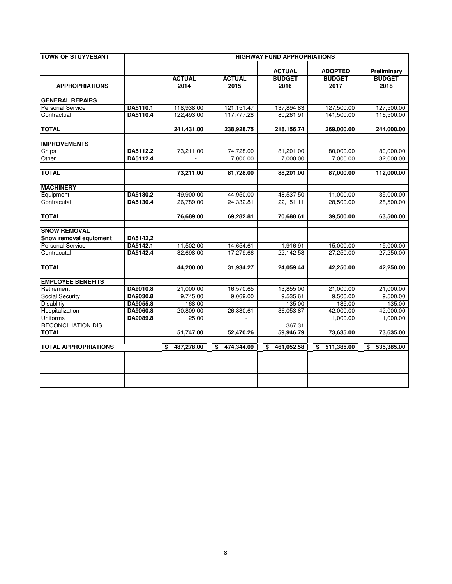| <b>TOWN OF STUYVESANT</b>   |          |                  |                  | <b>HIGHWAY FUND APPROPRIATIONS</b> |                                 |                              |
|-----------------------------|----------|------------------|------------------|------------------------------------|---------------------------------|------------------------------|
|                             |          | <b>ACTUAL</b>    | <b>ACTUAL</b>    | <b>ACTUAL</b><br><b>BUDGET</b>     | <b>ADOPTED</b><br><b>BUDGET</b> | Preliminary<br><b>BUDGET</b> |
| <b>APPROPRIATIONS</b>       |          | 2014             | 2015             | 2016                               | 2017                            | 2018                         |
| <b>GENERAL REPAIRS</b>      |          |                  |                  |                                    |                                 |                              |
| <b>Personal Service</b>     | DA5110.1 | 118,938.00       | 121, 151. 47     | 137,894.83                         | 127,500.00                      | 127,500.00                   |
| Contractual                 | DA5110.4 | 122,493.00       | 117,777.28       | 80,261.91                          | 141,500.00                      | 116,500.00                   |
|                             |          |                  |                  |                                    |                                 |                              |
| <b>TOTAL</b>                |          | 241,431.00       | 238,928.75       | 218,156.74                         | 269,000.00                      | 244,000.00                   |
| <b>IMPROVEMENTS</b>         |          |                  |                  |                                    |                                 |                              |
| Chips                       | DA5112.2 | 73,211.00        | 74,728.00        | 81,201.00                          | 80,000.00                       | 80,000.00                    |
| Other                       | DA5112.4 |                  | 7,000.00         | 7,000.00                           | 7,000.00                        | 32,000.00                    |
| <b>TOTAL</b>                |          | 73,211.00        | 81,728.00        | 88,201.00                          | 87,000.00                       | 112,000.00                   |
| <b>MACHINERY</b>            |          |                  |                  |                                    |                                 |                              |
| Equipment                   | DA5130.2 | 49,900.00        | 44,950.00        | 48,537.50                          | 11,000.00                       | 35,000.00                    |
| Contracutal                 | DA5130.4 | 26,789.00        | 24,332.81        | 22,151.11                          | 28,500.00                       | 28,500.00                    |
| <b>TOTAL</b>                |          | 76,689.00        | 69,282.81        | 70,688.61                          | 39,500.00                       | 63,500.00                    |
| <b>SNOW REMOVAL</b>         |          |                  |                  |                                    |                                 |                              |
| Snow removal equipment      | DA5142,2 |                  |                  |                                    |                                 |                              |
| <b>Personal Service</b>     | DA5142.1 | 11,502.00        | 14,654.61        | 1,916.91                           | 15,000.00                       | 15,000.00                    |
| Contracutal                 | DA5142.4 | 32,698.00        | 17,279.66        | 22,142.53                          | 27,250.00                       | 27.250.00                    |
| <b>TOTAL</b>                |          | 44,200.00        | 31,934.27        | 24,059.44                          | 42,250.00                       | 42,250.00                    |
| <b>EMPLOYEE BENEFITS</b>    |          |                  |                  |                                    |                                 |                              |
| Retirement                  | DA9010.8 | 21,000.00        | 16,570.65        | 13,855.00                          | 21,000.00                       | 21,000.00                    |
| Social Security             | DA9030.8 | 9.745.00         | 9,069.00         | 9,535.61                           | 9,500.00                        | 9,500.00                     |
| Disablitiy                  | DA9055.8 | 168.00           |                  | 135.00                             | 135.00                          | 135.00                       |
| Hospitalization             | DA9060.8 | 20,809.00        | 26,830.61        | 36,053.87                          | 42,000.00                       | 42,000.00                    |
| <b>Uniforms</b>             | DA9089.8 | 25.00            |                  |                                    | 1,000.00                        | 1,000.00                     |
| <b>RECONCILIATION DIS</b>   |          |                  |                  | 367.31                             |                                 |                              |
| <b>TOTAL</b>                |          | 51,747.00        | 52,470.26        | 59,946.79                          | 73,635.00                       | 73,635.00                    |
| <b>TOTAL APPROPRIATIONS</b> |          | 487,278.00<br>\$ | 474,344.09<br>\$ | 461,052.58<br>\$                   | 511,385.00<br>\$                | 535,385.00<br>\$             |
|                             |          |                  |                  |                                    |                                 |                              |
|                             |          |                  |                  |                                    |                                 |                              |
|                             |          |                  |                  |                                    |                                 |                              |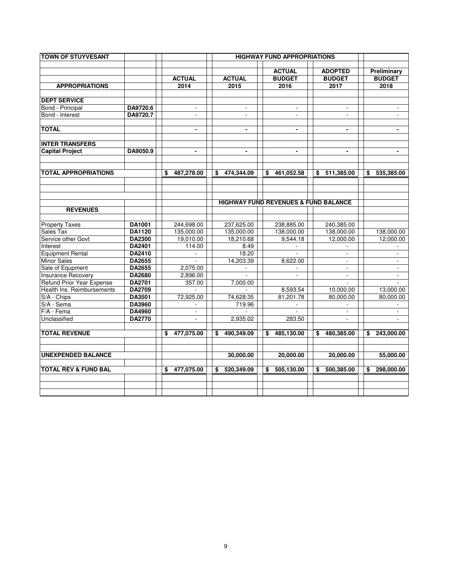| <b>TOWN OF STUYVESANT</b>       |               |                          |                  | <b>HIGHWAY FUND APPROPRIATIONS</b>              |                                 |                              |
|---------------------------------|---------------|--------------------------|------------------|-------------------------------------------------|---------------------------------|------------------------------|
|                                 |               |                          |                  |                                                 |                                 |                              |
|                                 |               | <b>ACTUAL</b>            | <b>ACTUAL</b>    | <b>ACTUAL</b><br><b>BUDGET</b>                  | <b>ADOPTED</b><br><b>BUDGET</b> | Preliminary<br><b>BUDGET</b> |
| <b>APPROPRIATIONS</b>           |               | 2014                     | 2015             | 2016                                            | 2017                            | 2018                         |
|                                 |               |                          |                  |                                                 |                                 |                              |
| <b>DEPT SERVICE</b>             |               |                          |                  |                                                 |                                 |                              |
| Bond - Principal                | DA9720.6      | $\blacksquare$           | $\sim$           | $\sim$                                          | $\overline{\phantom{a}}$        |                              |
| Bond - Interest                 | DA9720.7      | $\mathbf{r}$             | $\blacksquare$   | $\overline{\phantom{a}}$                        | $\overline{\phantom{a}}$        | $\overline{\phantom{a}}$     |
| <b>TOTAL</b>                    |               |                          | $\blacksquare$   | $\blacksquare$                                  | $\blacksquare$                  |                              |
| <b>INTER TRANSFERS</b>          |               |                          |                  |                                                 |                                 |                              |
| <b>Capital Project</b>          | DA9050.9      | $\overline{\phantom{0}}$ | $\blacksquare$   | $\blacksquare$                                  | $\blacksquare$                  | $\blacksquare$               |
|                                 |               |                          |                  |                                                 |                                 |                              |
| <b>TOTAL APPROPRIATIONS</b>     |               | \$<br>487,278.00         | 474,344.09<br>\$ | \$<br>461,052.58                                | \$<br>511,385.00                | 535,385.00<br>\$             |
|                                 |               |                          |                  |                                                 |                                 |                              |
|                                 |               |                          |                  |                                                 |                                 |                              |
|                                 |               |                          |                  | <b>HIGHWAY FUND REVENUES &amp; FUND BALANCE</b> |                                 |                              |
| <b>REVENUES</b>                 |               |                          |                  |                                                 |                                 |                              |
| <b>Property Taxes</b>           | DA1001        | 244.698.00               | 237.625.00       | 238.885.00                                      | 240.385.00                      |                              |
| Sales Tax                       | DA1120        | 135,000.00               | 135,000.00       | 138,000.00                                      | 138,000.00                      | 138,000.00                   |
| Service other Govt              | <b>DA2300</b> | 19,010.00                | 18,210.68        | 9,544.18                                        | 12,000.00                       | 12,000.00                    |
| Interest                        | DA2401        | 114.00                   | 8.49             |                                                 |                                 |                              |
| <b>Equipment Rental</b>         | DA2410        |                          | 18.20            |                                                 |                                 |                              |
| <b>Minor Sales</b>              | DA2655        |                          | 14,203.39        | 8,622.00                                        | $\overline{\phantom{a}}$        | $\blacksquare$               |
| Sale of Equpment                | DA2655        | 2,075.00                 |                  | $\mathbf{r}$                                    | $\sim$                          | $\overline{\phantom{a}}$     |
| Insurance Recovery              | DA2680        | 2,896.00                 | $\mathbf{r}$     | $\mathcal{L}^{\mathcal{A}}$                     | $\sim$                          | $\overline{\phantom{a}}$     |
| Refund Prior Year Expense       | DA2701        | 357.00                   | 7,000.00         |                                                 |                                 | ÷.                           |
| Health Ins. Reimbursements      | DA2709        |                          |                  | 8,593.54                                        | 10,000.00                       | 13,000.00                    |
| S/A - Chips                     | DA3501        | 72,925.00                | 74,628.35        | 81,201.78                                       | 80,000.00                       | 80,000.00                    |
| S/A - Sema<br>F/A - Fema        | DA3960        |                          | 719.96           | $\mathbf{r}$                                    |                                 |                              |
|                                 | <b>DA4960</b> | $\blacksquare$           |                  |                                                 | $\blacksquare$                  | $\mathcal{L}_{\mathcal{A}}$  |
| Unclassified                    | DA2770        | $\blacksquare$           | 2,935.02         | 283.50                                          | $\overline{\phantom{a}}$        | $\overline{\phantom{a}}$     |
| <b>TOTAL REVENUE</b>            |               | 477,075.00<br>\$         | 490,349.09<br>\$ | 485,130.00<br>\$                                | \$<br>480,385.00                | 243,000.00<br>\$             |
| <b>UNEXPENDED BALANCE</b>       |               |                          | 30,000.00        | 20,000.00                                       | 20,000.00                       | 55,000.00                    |
| <b>TOTAL REV &amp; FUND BAL</b> |               | 477,075.00<br>\$         | 520,349.09<br>\$ | 505,130.00<br>\$                                | 500,385.00<br>\$                | 298,000.00<br>\$             |
|                                 |               |                          |                  |                                                 |                                 |                              |
|                                 |               |                          |                  |                                                 |                                 |                              |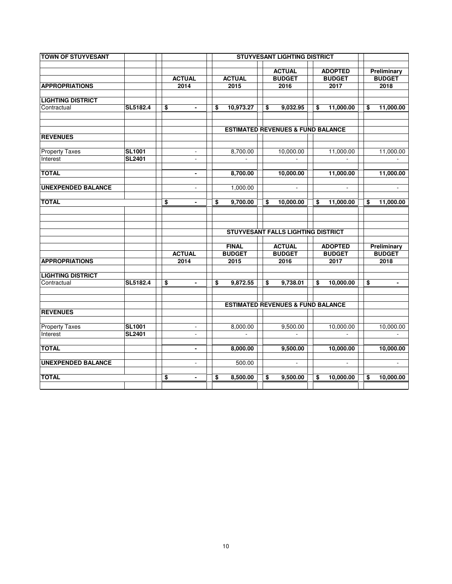| <b>TOWN OF STUYVESANT</b> |               |                             |                 | <b>STUYVESANT LIGHTING DISTRICT</b>          |                                 |  |                                      |                              |
|---------------------------|---------------|-----------------------------|-----------------|----------------------------------------------|---------------------------------|--|--------------------------------------|------------------------------|
|                           |               |                             |                 |                                              |                                 |  |                                      |                              |
|                           |               | <b>ACTUAL</b>               | <b>ACTUAL</b>   | <b>ACTUAL</b><br><b>BUDGET</b>               | <b>ADOPTED</b><br><b>BUDGET</b> |  |                                      | Preliminary<br><b>BUDGET</b> |
| <b>APPROPRIATIONS</b>     |               | 2014                        | 2015            | 2016                                         | 2017                            |  |                                      | 2018                         |
|                           |               |                             |                 |                                              |                                 |  |                                      |                              |
| <b>LIGHTING DISTRICT</b>  |               |                             |                 |                                              |                                 |  |                                      |                              |
| Contractual               | SL5182.4      | \$<br>$\blacksquare$        | \$<br>10,973.27 | \$<br>9,032.95                               | \$<br>11,000.00                 |  | \$                                   | 11,000.00                    |
|                           |               |                             |                 |                                              |                                 |  |                                      |                              |
|                           |               |                             |                 | <b>ESTIMATED REVENUES &amp; FUND BALANCE</b> |                                 |  |                                      |                              |
| <b>REVENUES</b>           |               |                             |                 |                                              |                                 |  |                                      |                              |
|                           |               |                             |                 |                                              |                                 |  |                                      |                              |
| <b>Property Taxes</b>     | <b>SL1001</b> |                             | 8,700.00        | 10,000.00                                    | 11,000.00                       |  |                                      | 11,000.00                    |
| Interest                  | <b>SL2401</b> |                             |                 |                                              |                                 |  |                                      |                              |
| <b>TOTAL</b>              |               | $\blacksquare$              | 8,700.00        | 10,000.00                                    | 11,000.00                       |  |                                      | 11,000.00                    |
|                           |               |                             |                 |                                              |                                 |  |                                      |                              |
| <b>UNEXPENDED BALANCE</b> |               | $\overline{\phantom{a}}$    | 1,000.00        | $\Box$                                       | ÷.                              |  |                                      | $\blacksquare$               |
|                           |               |                             |                 |                                              |                                 |  |                                      |                              |
| <b>TOTAL</b>              |               | \$<br>$\blacksquare$        | \$<br>9,700.00  | \$<br>10,000.00                              | \$<br>11,000.00                 |  | \$                                   | 11,000.00                    |
|                           |               |                             |                 |                                              |                                 |  |                                      |                              |
|                           |               |                             |                 |                                              |                                 |  |                                      |                              |
|                           |               |                             |                 | <b>STUYVESANT FALLS LIGHTING DISTRICT</b>    |                                 |  |                                      |                              |
|                           |               |                             |                 |                                              |                                 |  |                                      |                              |
|                           |               |                             | <b>FINAL</b>    | <b>ACTUAL</b>                                | <b>ADOPTED</b>                  |  |                                      | Preliminary                  |
|                           |               | <b>ACTUAL</b>               | <b>BUDGET</b>   | <b>BUDGET</b>                                | <b>BUDGET</b>                   |  |                                      | <b>BUDGET</b>                |
| <b>APPROPRIATIONS</b>     |               | 2014                        | 2015            | 2016                                         | 2017                            |  |                                      | 2018                         |
| <b>LIGHTING DISTRICT</b>  |               |                             |                 |                                              |                                 |  |                                      |                              |
| Contractual               | SL5182.4      | \$<br>$\blacksquare$        | \$<br>9,872.55  | \$<br>9,738.01                               | \$<br>10,000.00                 |  | $\overline{\boldsymbol{\mathsf{s}}}$ | $\blacksquare$               |
|                           |               |                             |                 |                                              |                                 |  |                                      |                              |
|                           |               |                             |                 |                                              |                                 |  |                                      |                              |
|                           |               |                             |                 | <b>ESTIMATED REVENUES &amp; FUND BALANCE</b> |                                 |  |                                      |                              |
| <b>REVENUES</b>           |               |                             |                 |                                              |                                 |  |                                      |                              |
| <b>Property Taxes</b>     | <b>SL1001</b> | $\blacksquare$              | 8,000.00        | 9,500.00                                     | 10,000.00                       |  |                                      | 10,000.00                    |
| Interest                  | <b>SL2401</b> | $\sim$                      | $\sim$          | $\mathcal{L}_{\mathcal{A}}$                  | $\mathcal{L}$                   |  |                                      | $\sim$                       |
|                           |               |                             |                 |                                              |                                 |  |                                      |                              |
| <b>TOTAL</b>              |               | $\blacksquare$              | 8,000.00        | 9,500.00                                     | 10,000.00                       |  |                                      | 10,000.00                    |
|                           |               |                             |                 |                                              |                                 |  |                                      |                              |
| <b>UNEXPENDED BALANCE</b> |               | $\mathcal{L}_{\mathcal{A}}$ | 500.00          | $\sim$                                       | $\sim$                          |  |                                      | $\sim$                       |
| <b>TOTAL</b>              |               | \$<br>$\blacksquare$        | \$<br>8,500.00  | \$<br>9,500.00                               | \$<br>10,000.00                 |  | \$                                   | 10,000.00                    |
|                           |               |                             |                 |                                              |                                 |  |                                      |                              |